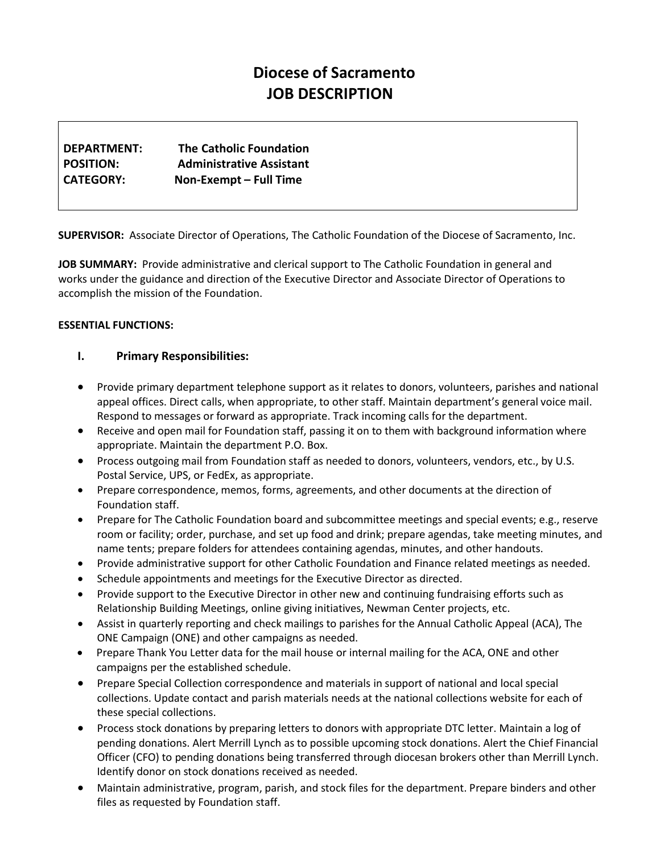# **Diocese of Sacramento JOB DESCRIPTION**

| DEPARTMENT:      | <b>The Catholic Foundation</b>  |
|------------------|---------------------------------|
| <b>POSITION:</b> | <b>Administrative Assistant</b> |
| <b>CATEGORY:</b> | Non-Exempt - Full Time          |

**SUPERVISOR:** Associate Director of Operations, The Catholic Foundation of the Diocese of Sacramento, Inc.

**JOB SUMMARY:** Provide administrative and clerical support to The Catholic Foundation in general and works under the guidance and direction of the Executive Director and Associate Director of Operations to accomplish the mission of the Foundation.

## **ESSENTIAL FUNCTIONS:**

## **I. Primary Responsibilities:**

- Provide primary department telephone support as it relates to donors, volunteers, parishes and national appeal offices. Direct calls, when appropriate, to other staff. Maintain department's general voice mail. Respond to messages or forward as appropriate. Track incoming calls for the department.
- Receive and open mail for Foundation staff, passing it on to them with background information where appropriate. Maintain the department P.O. Box.
- Process outgoing mail from Foundation staff as needed to donors, volunteers, vendors, etc., by U.S. Postal Service, UPS, or FedEx, as appropriate.
- Prepare correspondence, memos, forms, agreements, and other documents at the direction of Foundation staff.
- Prepare for The Catholic Foundation board and subcommittee meetings and special events; e.g., reserve room or facility; order, purchase, and set up food and drink; prepare agendas, take meeting minutes, and name tents; prepare folders for attendees containing agendas, minutes, and other handouts.
- Provide administrative support for other Catholic Foundation and Finance related meetings as needed.
- Schedule appointments and meetings for the Executive Director as directed.
- Provide support to the Executive Director in other new and continuing fundraising efforts such as Relationship Building Meetings, online giving initiatives, Newman Center projects, etc.
- Assist in quarterly reporting and check mailings to parishes for the Annual Catholic Appeal (ACA), The ONE Campaign (ONE) and other campaigns as needed.
- Prepare Thank You Letter data for the mail house or internal mailing for the ACA, ONE and other campaigns per the established schedule.
- Prepare Special Collection correspondence and materials in support of national and local special collections. Update contact and parish materials needs at the national collections website for each of these special collections.
- Process stock donations by preparing letters to donors with appropriate DTC letter. Maintain a log of pending donations. Alert Merrill Lynch as to possible upcoming stock donations. Alert the Chief Financial Officer (CFO) to pending donations being transferred through diocesan brokers other than Merrill Lynch. Identify donor on stock donations received as needed.
- Maintain administrative, program, parish, and stock files for the department. Prepare binders and other files as requested by Foundation staff.